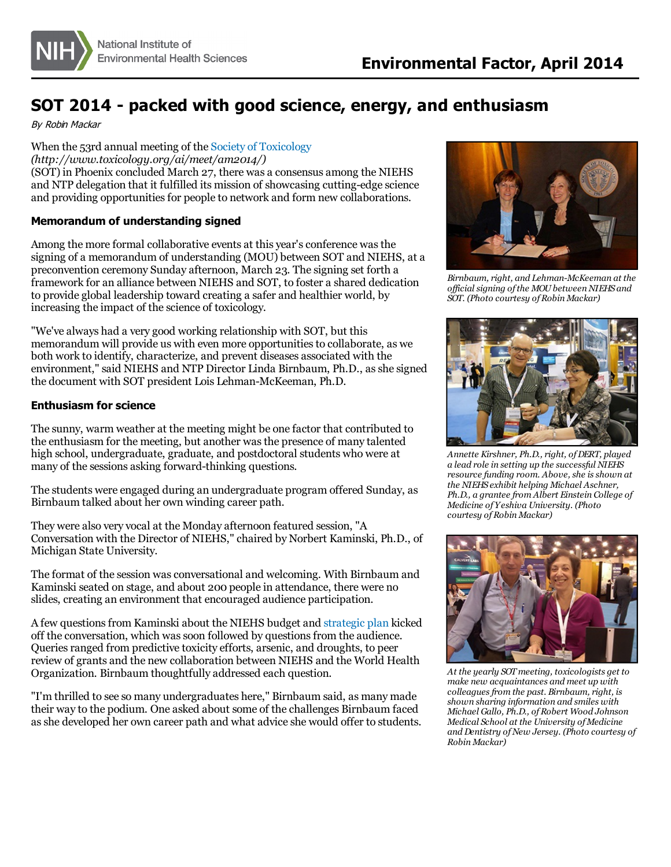## **SOT 2014 - packed with good science, energy, and enthusiasm**

By Robin Mackar

When the 53rd annual meeting of the Society of [Toxicology](http://www.toxicology.org/ai/meet/am2014/)

*(http://www.toxicology.org/ai/meet/am2014/)* (SOT) in Phoenix concluded March 27, there was a consensus among the NIEHS and NTP delegation that it fulfilled its mission of showcasing cutting-edge science and providing opportunities for people to network and form new collaborations.

## **Memorandum of understanding signed**

Among the more formal collaborative events at this year's conference was the signing of a memorandum of understanding (MOU) between SOT and NIEHS, at a preconvention ceremony Sunday afternoon, March 23. The signing set forth a framework for an alliance between NIEHS and SOT, to foster a shared dedication to provide global leadership toward creating a safer and healthier world, by increasing the impact of the science of toxicology.

"We've always had a very good working relationship with SOT, but this memorandum will provide us with even more opportunitiesto collaborate, as we both work to identify, characterize, and prevent diseases associated with the environment," said NIEHS and NTP Director Linda Birnbaum, Ph.D., asshe signed the document with SOT president Lois Lehman-McKeeman, Ph.D.

## **Enthusiasm for science**

The sunny, warm weather at the meeting might be one factor that contributed to the enthusiasm for the meeting, but another wasthe presence of many talented high school, undergraduate, graduate, and postdoctoral students who were at many of the sessions asking forward-thinking questions.

The students were engaged during an undergraduate program offered Sunday, as Birnbaum talked about her own winding career path.

They were also very vocal at the Monday afternoon featured session, "A Conversation with the Director of NIEHS,"chaired by Norbert Kaminski, Ph.D., of Michigan State University.

The format of the session wasconversational and welcoming. With Birnbaum and Kaminski seated on stage, and about 200 people in attendance, there were no slides, creating an environment that encouraged audience participation.

A few questionsfrom Kaminski about the NIEHS budget and [strategic](http://www.niehs.nih.gov/about/strategicplan/index.cfm) plan kicked off the conversation, which wassoon followed by questionsfrom the audience. Queries ranged from predictive toxicity efforts, arsenic, and droughts, to peer review of grants and the new collaboration between NIEHS and the World Health Organization. Birnbaum thoughtfully addressed each question.

"I'm thrilled to see so many undergraduates here," Birnbaum said, as many made their way to the podium. One asked about some of the challenges Birnbaum faced asshe developed her own career path and what advice she would offer to students.



*Birnbaum, right, and Lehman-McKeeman at the of icial signing ofthe MOUbetween NIEHS and SOT. (Photo courtesy ofRobin Mackar)*



*Annette Kirshner, Ph.D., right, ofDERT, played a lead role in setting up the successful NIEHS resource funding room. Above, she isshown at the NIEHS exhibit helping Michael Aschner, Ph.D., a grantee from Albert Einstein College of Medicine of Yeshiva University. (Photo courtesy ofRobin Mackar)*



*At the yearly SOTmeeting, toxicologists get to make new acquaintances and meet up with colleaguesfrom the past. Birnbaum, right, is shown sharing information and smiles with Michael Gallo, Ph.D., ofRobert Wood Johnson Medical School at the University of Medicine and Dentistry ofNew Jersey. (Photo courtesy of Robin Mackar)*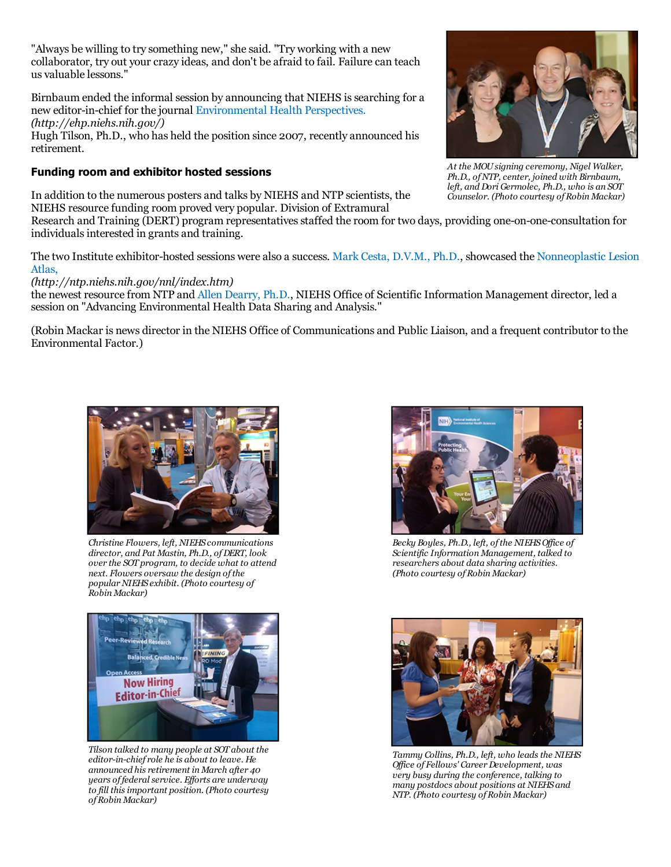"Always be willing to try something new," she said. "Try working with a new collaborator, try out your crazy ideas, and don't be afraid to fail. Failure can teach us valuable lessons."

Birnbaum ended the informal session by announcing that NIEHS issearching for a new editor-in-chief for the journal [Environmental](http://ehp.niehs.nih.gov/) Health Perspectives. *(http://ehp.niehs.nih.gov/)*

Hugh Tilson, Ph.D., who has held the position since 2007, recently announced his retirement.

## **Funding room and exhibitor hosted sessions**

In addition to the numerous posters and talks by NIEHS and NTP scientists, the NIEHS resource funding room proved very popular. Division of Extramural

Research and Training (DERT) program representatives staffed the room for two days, providing one-on-one-consultation for individualsinterested in grants and training.

The two Institute [exhibitor-hosted](http://ntp.niehs.nih.gov/nnl/index.htm) sessions were also a success. Mark Cesta, [D.V.M.,](http://www.niehs.nih.gov/research/atniehs/labs/lep/ntp-path/staff/cesta/index.cfm) Ph.D., showcased the Nonneoplastic Lesion Atlas,

*(http://ntp.niehs.nih.gov/nnl/index.htm)*

the newest resource from NTP and Allen [Dearry,](http://www.niehs.nih.gov/about/od/deputy/osim/index.cfm) Ph.D., NIEHS Office of Scientific Information Management director, led a session on "Advancing Environmental Health Data Sharing and Analysis."

(Robin Mackar is news director in the NIEHS Office of Communications and Public Liaison, and a frequent contributor to the Environmental Factor.)



*over the SOT program, to decide what to attend next. Flowers oversaw the design ofthe popularNIEHS exhibit. (Photo courtesy of Robin Mackar)*



*Tilson talked to many people at SOT about the editor-in-chief role he is about to leave. He announced his retirement in March after 40 years of federal service. Ef orts are underway to fill thisimportant position. (Photo courtesy ofRobin Mackar)*



*Becky Boyles, Ph.D., left, ofthe NIEHSOf ice of Scientific Information Management, talked to researchers about data sharing activities. (Photo courtesy ofRobin Mackar)*



*Tammy Collins, Ph.D., left, who leadsthe NIEHS Of ice of Fellows' CareerDevelopment, was very busy during the conference, talking to many postdocs about positions at NIEHS and NTP. (Photo courtesy ofRobin Mackar)*



*At the MOUsigning ceremony, Nigel Walker, Ph.D., ofNTP, center, joined with Birnbaum, left, and Dori Germolec, Ph.D., who is an SOT Counselor. (Photo courtesy ofRobin Mackar)*